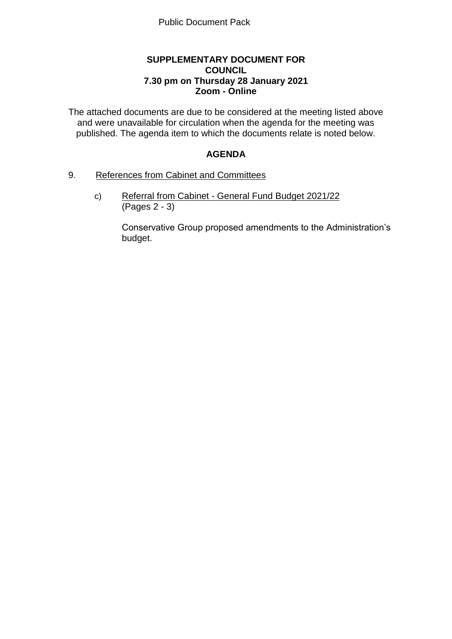### **SUPPLEMENTARY DOCUMENT FOR COUNCIL 7.30 pm on Thursday 28 January 2021 Zoom - Online**

The attached documents are due to be considered at the meeting listed above and were unavailable for circulation when the agenda for the meeting was published. The agenda item to which the documents relate is noted below.

## **AGENDA**

### 9. References from Cabinet and Committees

c) Referral from Cabinet - General Fund Budget 2021/22 (Pages 2 - 3)

> Conservative Group proposed amendments to the Administration's budget.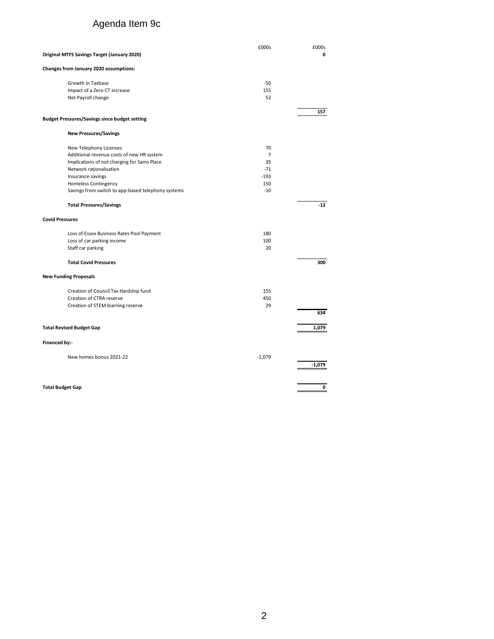# Agenda Item 9c

| <b>Original MTFS Savings Target (January 2020)</b>   | £000s          | £000s<br>$\mathbf{0}$ |  |  |  |  |
|------------------------------------------------------|----------------|-----------------------|--|--|--|--|
| Changes from January 2020 assumptions:               |                |                       |  |  |  |  |
| Growth in Taxbase                                    | $-50$          |                       |  |  |  |  |
| Impact of a Zero CT increase                         | 155            |                       |  |  |  |  |
| Net Payroll change                                   | 52             |                       |  |  |  |  |
|                                                      |                |                       |  |  |  |  |
| <b>Budget Pressures/Savings since budget setting</b> |                | 157                   |  |  |  |  |
| <b>New Pressures/Savings</b>                         |                |                       |  |  |  |  |
| New Telephony Licenses                               | 70             |                       |  |  |  |  |
| Additional revenue costs of new HR system            | $\overline{7}$ |                       |  |  |  |  |
| Implications of not charging for Sams Place          | 35             |                       |  |  |  |  |
| Network rationalisation                              | $-71$          |                       |  |  |  |  |
| Insurance savings                                    | $-193$         |                       |  |  |  |  |
| Homeless Contingency                                 | 150            |                       |  |  |  |  |
| Savings from switch to app-based telephony systems   | $-10$          |                       |  |  |  |  |
| <b>Total Pressures/Savings</b>                       |                | $-12$                 |  |  |  |  |
| <b>Covid Pressures</b>                               |                |                       |  |  |  |  |
| Loss of Essex Business Rates Pool Payment            | 180            |                       |  |  |  |  |
| Loss of car parking income                           | 100            |                       |  |  |  |  |
| Staff car parking                                    | 20             |                       |  |  |  |  |
| <b>Total Covid Pressures</b>                         |                | 300                   |  |  |  |  |
| <b>New Funding Proposals</b>                         |                |                       |  |  |  |  |
| Creation of Council Tax Hardship fund                | 155            |                       |  |  |  |  |
| Creation of CTRA reserve                             | 450            |                       |  |  |  |  |
| Creation of STEM learning reserve                    | 29             |                       |  |  |  |  |
|                                                      |                | 634                   |  |  |  |  |
| <b>Total Revised Budget Gap</b>                      |                | 1,079                 |  |  |  |  |
| <b>Financed by:-</b>                                 |                |                       |  |  |  |  |
| New homes bonus 2021-22                              | $-1,079$       | $-1.079$              |  |  |  |  |
| <b>Total Budget Gap</b>                              |                | 0                     |  |  |  |  |